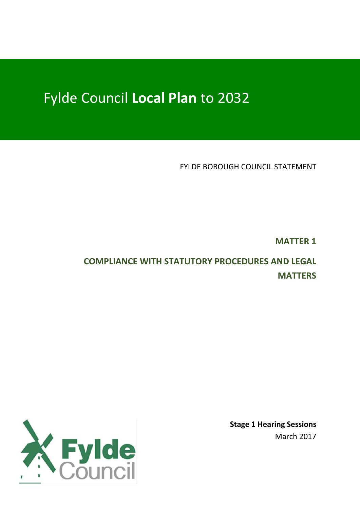# Fylde Council **Local Plan** to 2032

FYLDE BOROUGH COUNCIL STATEMENT

**MATTER 1**

# **COMPLIANCE WITH STATUTORY PROCEDURES AND LEGAL MATTERS**

**Stage 1 Hearing Sessions** March 2017

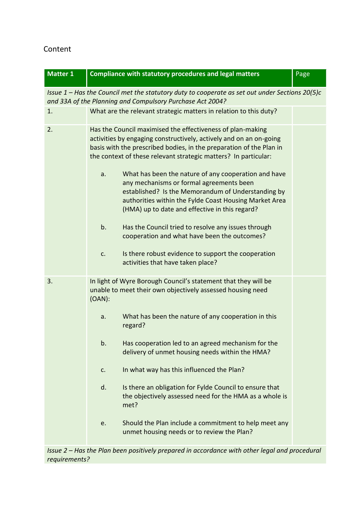# Content

| <b>Matter 1</b>                                                                                                                                               |                                                                                                                                                                                                                                                                                                                                          | <b>Compliance with statutory procedures and legal matters</b>                                                                                                                                              | Page |  |  |
|---------------------------------------------------------------------------------------------------------------------------------------------------------------|------------------------------------------------------------------------------------------------------------------------------------------------------------------------------------------------------------------------------------------------------------------------------------------------------------------------------------------|------------------------------------------------------------------------------------------------------------------------------------------------------------------------------------------------------------|------|--|--|
| Issue $1$ – Has the Council met the statutory duty to cooperate as set out under Sections 20(5)c<br>and 33A of the Planning and Compulsory Purchase Act 2004? |                                                                                                                                                                                                                                                                                                                                          |                                                                                                                                                                                                            |      |  |  |
| 1.                                                                                                                                                            |                                                                                                                                                                                                                                                                                                                                          | What are the relevant strategic matters in relation to this duty?                                                                                                                                          |      |  |  |
| 2.                                                                                                                                                            | Has the Council maximised the effectiveness of plan-making<br>activities by engaging constructively, actively and on an on-going<br>basis with the prescribed bodies, in the preparation of the Plan in<br>the context of these relevant strategic matters? In particular:<br>What has been the nature of any cooperation and have<br>a. |                                                                                                                                                                                                            |      |  |  |
|                                                                                                                                                               |                                                                                                                                                                                                                                                                                                                                          | any mechanisms or formal agreements been<br>established? Is the Memorandum of Understanding by<br>authorities within the Fylde Coast Housing Market Area<br>(HMA) up to date and effective in this regard? |      |  |  |
|                                                                                                                                                               | b.                                                                                                                                                                                                                                                                                                                                       | Has the Council tried to resolve any issues through<br>cooperation and what have been the outcomes?                                                                                                        |      |  |  |
|                                                                                                                                                               | c.                                                                                                                                                                                                                                                                                                                                       | Is there robust evidence to support the cooperation<br>activities that have taken place?                                                                                                                   |      |  |  |
| 3.                                                                                                                                                            | In light of Wyre Borough Council's statement that they will be<br>unable to meet their own objectively assessed housing need<br>$(OAN)$ :                                                                                                                                                                                                |                                                                                                                                                                                                            |      |  |  |
|                                                                                                                                                               | a.                                                                                                                                                                                                                                                                                                                                       | What has been the nature of any cooperation in this<br>regard?                                                                                                                                             |      |  |  |
|                                                                                                                                                               | b.                                                                                                                                                                                                                                                                                                                                       | Has cooperation led to an agreed mechanism for the<br>delivery of unmet housing needs within the HMA?                                                                                                      |      |  |  |
|                                                                                                                                                               | c.                                                                                                                                                                                                                                                                                                                                       | In what way has this influenced the Plan?                                                                                                                                                                  |      |  |  |
|                                                                                                                                                               | d.                                                                                                                                                                                                                                                                                                                                       | Is there an obligation for Fylde Council to ensure that<br>the objectively assessed need for the HMA as a whole is<br>met?                                                                                 |      |  |  |
|                                                                                                                                                               | e.                                                                                                                                                                                                                                                                                                                                       | Should the Plan include a commitment to help meet any<br>unmet housing needs or to review the Plan?                                                                                                        |      |  |  |

*Issue 2 – Has the Plan been positively prepared in accordance with other legal and procedural requirements?*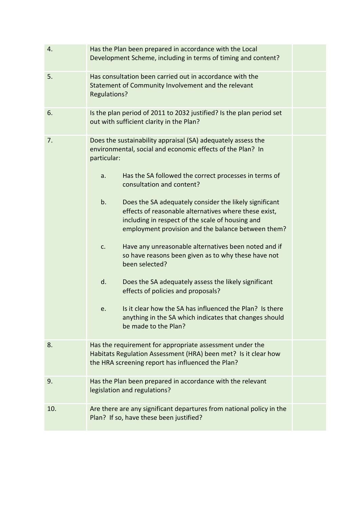| 4.  | Has the Plan been prepared in accordance with the Local<br>Development Scheme, including in terms of timing and content?                                                                                                        |  |  |  |
|-----|---------------------------------------------------------------------------------------------------------------------------------------------------------------------------------------------------------------------------------|--|--|--|
| 5.  | Has consultation been carried out in accordance with the<br>Statement of Community Involvement and the relevant<br>Regulations?                                                                                                 |  |  |  |
| 6.  | Is the plan period of 2011 to 2032 justified? Is the plan period set<br>out with sufficient clarity in the Plan?                                                                                                                |  |  |  |
| 7.  | Does the sustainability appraisal (SA) adequately assess the<br>environmental, social and economic effects of the Plan? In<br>particular:                                                                                       |  |  |  |
|     | Has the SA followed the correct processes in terms of<br>a.<br>consultation and content?                                                                                                                                        |  |  |  |
|     | b.<br>Does the SA adequately consider the likely significant<br>effects of reasonable alternatives where these exist,<br>including in respect of the scale of housing and<br>employment provision and the balance between them? |  |  |  |
|     | Have any unreasonable alternatives been noted and if<br>c.<br>so have reasons been given as to why these have not<br>been selected?                                                                                             |  |  |  |
|     | d.<br>Does the SA adequately assess the likely significant<br>effects of policies and proposals?                                                                                                                                |  |  |  |
|     | Is it clear how the SA has influenced the Plan? Is there<br>e.<br>anything in the SA which indicates that changes should<br>be made to the Plan?                                                                                |  |  |  |
| 8.  | Has the requirement for appropriate assessment under the<br>Habitats Regulation Assessment (HRA) been met? Is it clear how<br>the HRA screening report has influenced the Plan?                                                 |  |  |  |
| 9.  | Has the Plan been prepared in accordance with the relevant<br>legislation and regulations?                                                                                                                                      |  |  |  |
| 10. | Are there are any significant departures from national policy in the<br>Plan? If so, have these been justified?                                                                                                                 |  |  |  |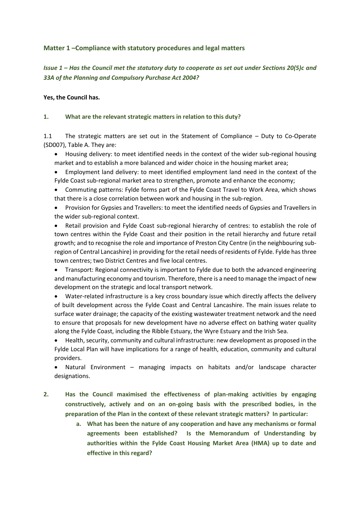#### **Matter 1 –Compliance with statutory procedures and legal matters**

#### *Issue 1 – Has the Council met the statutory duty to cooperate as set out under Sections 20(5)c and 33A of the Planning and Compulsory Purchase Act 2004?*

#### **Yes, the Council has.**

#### **1. What are the relevant strategic matters in relation to this duty?**

1.1 The strategic matters are set out in the Statement of Compliance – Duty to Co-Operate (SD007), Table A. They are:

- Housing delivery: to meet identified needs in the context of the wider sub-regional housing market and to establish a more balanced and wider choice in the housing market area;
- Employment land delivery: to meet identified employment land need in the context of the Fylde Coast sub-regional market area to strengthen, promote and enhance the economy;
- Commuting patterns: Fylde forms part of the Fylde Coast Travel to Work Area, which shows that there is a close correlation between work and housing in the sub-region.
- Provision for Gypsies and Travellers: to meet the identified needs of Gypsies and Travellers in the wider sub-regional context.

 Retail provision and Fylde Coast sub-regional hierarchy of centres: to establish the role of town centres within the Fylde Coast and their position in the retail hierarchy and future retail growth; and to recognise the role and importance of Preston City Centre (in the neighbouring subregion of Central Lancashire) in providing for the retail needs of residents of Fylde. Fylde has three town centres; two District Centres and five local centres.

 Transport: Regional connectivity is important to Fylde due to both the advanced engineering and manufacturing economy and tourism. Therefore, there is a need to manage the impact of new development on the strategic and local transport network.

 Water-related infrastructure is a key cross boundary issue which directly affects the delivery of built development across the Fylde Coast and Central Lancashire. The main issues relate to surface water drainage; the capacity of the existing wastewater treatment network and the need to ensure that proposals for new development have no adverse effect on bathing water quality along the Fylde Coast, including the Ribble Estuary, the Wyre Estuary and the Irish Sea.

 Health, security, community and cultural infrastructure: new development as proposed in the Fylde Local Plan will have implications for a range of health, education, community and cultural providers.

 Natural Environment – managing impacts on habitats and/or landscape character designations.

**2. Has the Council maximised the effectiveness of plan-making activities by engaging constructively, actively and on an on-going basis with the prescribed bodies, in the preparation of the Plan in the context of these relevant strategic matters? In particular:**

> **a. What has been the nature of any cooperation and have any mechanisms or formal agreements been established? Is the Memorandum of Understanding by authorities within the Fylde Coast Housing Market Area (HMA) up to date and effective in this regard?**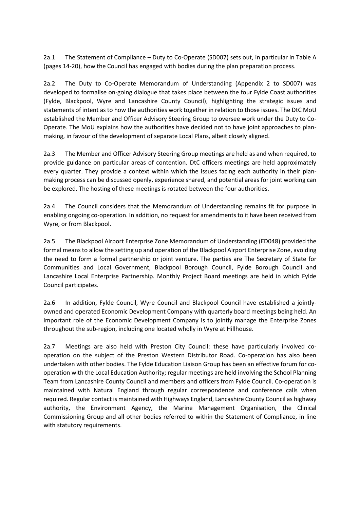2a.1 The Statement of Compliance – Duty to Co-Operate (SD007) sets out, in particular in Table A (pages 14-20), how the Council has engaged with bodies during the plan preparation process.

2a.2 The Duty to Co-Operate Memorandum of Understanding (Appendix 2 to SD007) was developed to formalise on-going dialogue that takes place between the four Fylde Coast authorities (Fylde, Blackpool, Wyre and Lancashire County Council), highlighting the strategic issues and statements of intent as to how the authorities work together in relation to those issues. The DtC MoU established the Member and Officer Advisory Steering Group to oversee work under the Duty to Co-Operate. The MoU explains how the authorities have decided not to have joint approaches to planmaking, in favour of the development of separate Local Plans, albeit closely aligned.

2a.3 The Member and Officer Advisory Steering Group meetings are held as and when required, to provide guidance on particular areas of contention. DtC officers meetings are held approximately every quarter. They provide a context within which the issues facing each authority in their planmaking process can be discussed openly, experience shared, and potential areas for joint working can be explored. The hosting of these meetings is rotated between the four authorities.

2a.4 The Council considers that the Memorandum of Understanding remains fit for purpose in enabling ongoing co-operation. In addition, no request for amendments to it have been received from Wyre, or from Blackpool.

2a.5 The Blackpool Airport Enterprise Zone Memorandum of Understanding (ED048) provided the formal means to allow the setting up and operation of the Blackpool Airport Enterprise Zone, avoiding the need to form a formal partnership or joint venture. The parties are The Secretary of State for Communities and Local Government, Blackpool Borough Council, Fylde Borough Council and Lancashire Local Enterprise Partnership. Monthly Project Board meetings are held in which Fylde Council participates.

2a.6 In addition, Fylde Council, Wyre Council and Blackpool Council have established a jointlyowned and operated Economic Development Company with quarterly board meetings being held. An important role of the Economic Development Company is to jointly manage the Enterprise Zones throughout the sub-region, including one located wholly in Wyre at Hillhouse.

2a.7 Meetings are also held with Preston City Council: these have particularly involved cooperation on the subject of the Preston Western Distributor Road. Co-operation has also been undertaken with other bodies. The Fylde Education Liaison Group has been an effective forum for cooperation with the Local Education Authority; regular meetings are held involving the School Planning Team from Lancashire County Council and members and officers from Fylde Council. Co-operation is maintained with Natural England through regular correspondence and conference calls when required. Regular contact is maintained with Highways England, Lancashire County Council as highway authority, the Environment Agency, the Marine Management Organisation, the Clinical Commissioning Group and all other bodies referred to within the Statement of Compliance, in line with statutory requirements.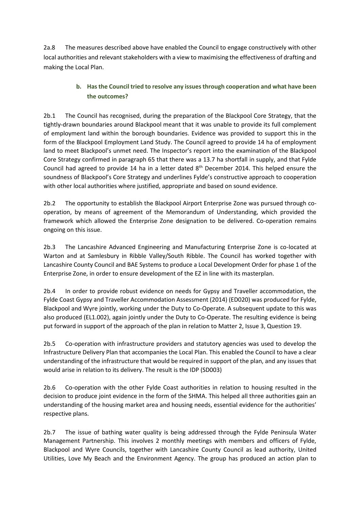2a.8 The measures described above have enabled the Council to engage constructively with other local authorities and relevant stakeholders with a view to maximising the effectiveness of drafting and making the Local Plan.

# **b. Has the Council tried to resolve any issues through cooperation and what have been the outcomes?**

2b.1 The Council has recognised, during the preparation of the Blackpool Core Strategy, that the tightly-drawn boundaries around Blackpool meant that it was unable to provide its full complement of employment land within the borough boundaries. Evidence was provided to support this in the form of the Blackpool Employment Land Study. The Council agreed to provide 14 ha of employment land to meet Blackpool's unmet need. The Inspector's report into the examination of the Blackpool Core Strategy confirmed in paragraph 65 that there was a 13.7 ha shortfall in supply, and that Fylde Council had agreed to provide 14 ha in a letter dated 8<sup>th</sup> December 2014. This helped ensure the soundness of Blackpool's Core Strategy and underlines Fylde's constructive approach to cooperation with other local authorities where justified, appropriate and based on sound evidence.

2b.2 The opportunity to establish the Blackpool Airport Enterprise Zone was pursued through cooperation, by means of agreement of the Memorandum of Understanding, which provided the framework which allowed the Enterprise Zone designation to be delivered. Co-operation remains ongoing on this issue.

2b.3 The Lancashire Advanced Engineering and Manufacturing Enterprise Zone is co-located at Warton and at Samlesbury in Ribble Valley/South Ribble. The Council has worked together with Lancashire County Council and BAE Systems to produce a Local Development Order for phase 1 of the Enterprise Zone, in order to ensure development of the EZ in line with its masterplan.

2b.4 In order to provide robust evidence on needs for Gypsy and Traveller accommodation, the Fylde Coast Gypsy and Traveller Accommodation Assessment (2014) (ED020) was produced for Fylde, Blackpool and Wyre jointly, working under the Duty to Co-Operate. A subsequent update to this was also produced (EL1.002), again jointly under the Duty to Co-Operate. The resulting evidence is being put forward in support of the approach of the plan in relation to Matter 2, Issue 3, Question 19.

2b.5 Co-operation with infrastructure providers and statutory agencies was used to develop the Infrastructure Delivery Plan that accompanies the Local Plan. This enabled the Council to have a clear understanding of the infrastructure that would be required in support of the plan, and any issues that would arise in relation to its delivery. The result is the IDP (SD003)

2b.6 Co-operation with the other Fylde Coast authorities in relation to housing resulted in the decision to produce joint evidence in the form of the SHMA. This helped all three authorities gain an understanding of the housing market area and housing needs, essential evidence for the authorities' respective plans.

2b.7 The issue of bathing water quality is being addressed through the Fylde Peninsula Water Management Partnership. This involves 2 monthly meetings with members and officers of Fylde, Blackpool and Wyre Councils, together with Lancashire County Council as lead authority, United Utilities, Love My Beach and the Environment Agency. The group has produced an action plan to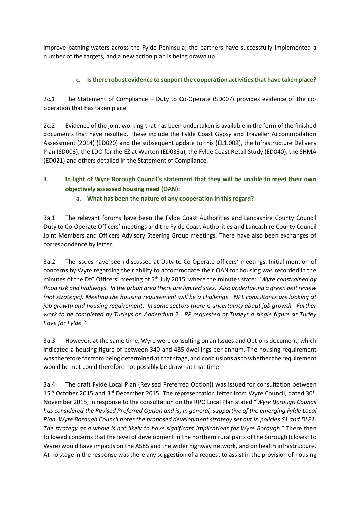improve bathing waters across the Fylde Peninsula; the partners have successfully implemented a number of the targets, and a new action plan is being drawn up.

#### **c. Is there robust evidence to support the cooperation activities that have taken place?**

2c.1 The Statement of Compliance – Duty to Co-Operate (SD007) provides evidence of the cooperation that has taken place.

2c.2 Evidence of the joint working that has been undertaken is available in the form of the finished documents that have resulted. These include the Fylde Coast Gypsy and Traveller Accommodation Assessment (2014) (ED020) and the subsequent update to this (EL1.002), the Infrastructure Delivery Plan (SD003), the LDO for the EZ at Warton (ED033a), the Fylde Coast Retail Study (ED040), the SHMA (ED021) and others detailed in the Statement of Compliance.

**3. In light of Wyre Borough Council's statement that they will be unable to meet their own objectively assessed housing need (OAN):**

#### **a. What has been the nature of any cooperation in this regard?**

3a.1 The relevant forums have been the Fylde Coast Authorities and Lancashire County Council Duty to Co-Operate Officers' meetings and the Fylde Coast Authorities and Lancashire County Council Joint Members and Officers Advisory Steering Group meetings. There have also been exchanges of correspondence by letter.

3a.2 The issues have been discussed at Duty to Co-Operate officers' meetings. Initial mention of concerns by Wyre regarding their ability to accommodate their OAN for housing was recorded in the minutes of the DtC Officers' meeting of 5th July 2015, where the minutes state: "*Wyre constrained by flood risk and highways. In the urban area there are limited sites. Also undertaking a green belt review (not strategic). Meeting the housing requirement will be a challenge. NPL consultants are looking at job growth and housing requirement. In some sectors there is uncertainty about job growth. Further work to be completed by Turleys on Addendum 2. RP requested of Turleys a single figure as Turley have for Fylde."*

3a.3 However, at the same time, Wyre were consulting on an Issues and Options document, which indicated a housing figure of between 340 and 485 dwellings per annum. The housing requirement was therefore far from being determined at that stage, and conclusions as to whether the requirement would be met could therefore not possibly be drawn at that time.

3a.4 The draft Fylde Local Plan (Revised Preferred Option)) was issued for consultation between 15<sup>th</sup> October 2015 and 3<sup>rd</sup> December 2015. The representation letter from Wyre Council, dated 30<sup>th</sup> November 2015, in response to the consultation on the RPO Local Plan stated "*Wyre Borough Council has considered the Revised Preferred Option and is, in general, supportive of the emerging Fylde Local Plan. Wyre Borough Council notes the proposed development strategy set out in policies S1 and DLF1. The strategy as a whole is not likely to have significant implications for Wyre Borough*." There then followed concerns that the level of development in the northern rural parts of the borough (closest to Wyre) would have impacts on the A585 and the wider highway network, and on health infrastructure. At no stage in the response was there any suggestion of a request to assist in the provision of housing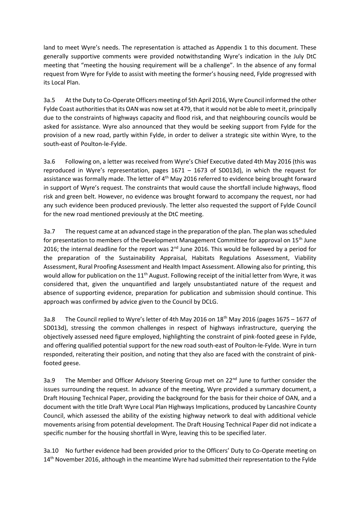land to meet Wyre's needs. The representation is attached as Appendix 1 to this document. These generally supportive comments were provided notwithstanding Wyre's indication in the July DtC meeting that "meeting the housing requirement will be a challenge". In the absence of any formal request from Wyre for Fylde to assist with meeting the former's housing need, Fylde progressed with its Local Plan.

3a.5 At the Duty to Co-Operate Officers meeting of 5th April 2016, Wyre Council informed the other Fylde Coast authorities that its OAN was now set at 479, that it would not be able to meet it, principally due to the constraints of highways capacity and flood risk, and that neighbouring councils would be asked for assistance. Wyre also announced that they would be seeking support from Fylde for the provision of a new road, partly within Fylde, in order to deliver a strategic site within Wyre, to the south-east of Poulton-le-Fylde.

3a.6 Following on, a letter was received from Wyre's Chief Executive dated 4th May 2016 (this was reproduced in Wyre's representation, pages 1671 – 1673 of SD013d), in which the request for assistance was formally made. The letter of 4<sup>th</sup> May 2016 referred to evidence being brought forward in support of Wyre's request. The constraints that would cause the shortfall include highways, flood risk and green belt. However, no evidence was brought forward to accompany the request, nor had any such evidence been produced previously. The letter also requested the support of Fylde Council for the new road mentioned previously at the DtC meeting.

3a.7 The request came at an advanced stage in the preparation of the plan. The plan was scheduled for presentation to members of the Development Management Committee for approval on 15<sup>th</sup> June 2016; the internal deadline for the report was  $2^{nd}$  June 2016. This would be followed by a period for the preparation of the Sustainability Appraisal, Habitats Regulations Assessment, Viability Assessment, Rural Proofing Assessment and Health Impact Assessment. Allowing also for printing, this would allow for publication on the 11<sup>th</sup> August. Following receipt of the initial letter from Wyre, it was considered that, given the unquantified and largely unsubstantiated nature of the request and absence of supporting evidence, preparation for publication and submission should continue. This approach was confirmed by advice given to the Council by DCLG.

3a.8 The Council replied to Wyre's letter of 4th May 2016 on 18th May 2016 (pages 1675 – 1677 of SD013d), stressing the common challenges in respect of highways infrastructure, querying the objectively assessed need figure employed, highlighting the constraint of pink-footed geese in Fylde, and offering qualified potential support for the new road south-east of Poulton-le-Fylde. Wyre in turn responded, reiterating their position, and noting that they also are faced with the constraint of pinkfooted geese.

3a.9 The Member and Officer Advisory Steering Group met on 22<sup>nd</sup> June to further consider the issues surrounding the request. In advance of the meeting, Wyre provided a summary document, a Draft Housing Technical Paper, providing the background for the basis for their choice of OAN, and a document with the title Draft Wyre Local Plan Highways Implications, produced by Lancashire County Council, which assessed the ability of the existing highway network to deal with additional vehicle movements arising from potential development. The Draft Housing Technical Paper did not indicate a specific number for the housing shortfall in Wyre, leaving this to be specified later.

3a.10 No further evidence had been provided prior to the Officers' Duty to Co-Operate meeting on 14<sup>th</sup> November 2016, although in the meantime Wyre had submitted their representation to the Fylde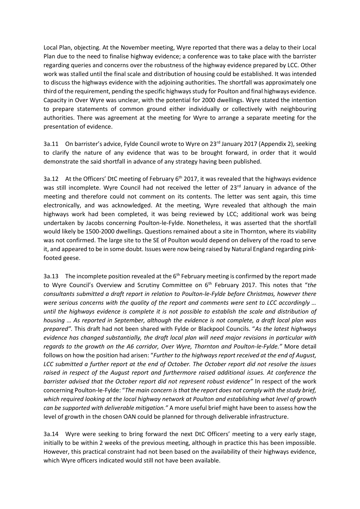Local Plan, objecting. At the November meeting, Wyre reported that there was a delay to their Local Plan due to the need to finalise highway evidence; a conference was to take place with the barrister regarding queries and concerns over the robustness of the highway evidence prepared by LCC. Other work was stalled until the final scale and distribution of housing could be established. It was intended to discuss the highways evidence with the adjoining authorities. The shortfall was approximately one third of the requirement, pending the specific highways study for Poulton and final highways evidence. Capacity in Over Wyre was unclear, with the potential for 2000 dwellings. Wyre stated the intention to prepare statements of common ground either individually or collectively with neighbouring authorities. There was agreement at the meeting for Wyre to arrange a separate meeting for the presentation of evidence.

3a.11 On barrister's advice, Fylde Council wrote to Wyre on 23<sup>rd</sup> January 2017 (Appendix 2), seeking to clarify the nature of any evidence that was to be brought forward, in order that it would demonstrate the said shortfall in advance of any strategy having been published.

3a.12 At the Officers' DtC meeting of February 6<sup>th</sup> 2017, it was revealed that the highways evidence was still incomplete. Wyre Council had not received the letter of 23<sup>rd</sup> January in advance of the meeting and therefore could not comment on its contents. The letter was sent again, this time electronically, and was acknowledged. At the meeting, Wyre revealed that although the main highways work had been completed, it was being reviewed by LCC; additional work was being undertaken by Jacobs concerning Poulton-le-Fylde. Nonetheless, it was asserted that the shortfall would likely be 1500-2000 dwellings. Questions remained about a site in Thornton, where its viability was not confirmed. The large site to the SE of Poulton would depend on delivery of the road to serve it, and appeared to be in some doubt. Issues were now being raised by Natural England regarding pinkfooted geese.

3a.13 The incomplete position revealed at the  $6<sup>th</sup>$  February meeting is confirmed by the report made to Wyre Council's Overview and Scrutiny Committee on 6th February 2017. This notes that "*the consultants submitted a draft report in relation to Poulton-le-Fylde before Christmas, however there were serious concerns with the quality of the report and comments were sent to LCC accordingly … until the highways evidence is complete it is not possible to establish the scale and distribution of housing … As reported in September, although the evidence is not complete, a draft local plan was prepared".* This draft had not been shared with Fylde or Blackpool Councils. "*As the latest highways evidence has changed substantially, the draft local plan will need major revisions in particular with regards to the growth on the A6 corridor, Over Wyre, Thornton and Poulton-le-Fylde."* More detail follows on how the position had arisen: "*Further to the highways report received at the end of August, LCC submitted a further report at the end of October. The October report did not resolve the issues raised in respect of the August report and furthermore raised additional issues. At conference the barrister advised that the October report did not represent robust evidence"* In respect of the work concerning Poulton-le-Fylde: "*The main concern is that the report does not comply with the study brief, which required looking at the local highway network at Poulton and establishing what level of growth can be supported with deliverable mitigation."* A more useful brief might have been to assess how the level of growth in the chosen OAN could be planned for through deliverable infrastructure.

3a.14 Wyre were seeking to bring forward the next DtC Officers' meeting to a very early stage, initially to be within 2 weeks of the previous meeting, although in practice this has been impossible. However, this practical constraint had not been based on the availability of their highways evidence, which Wyre officers indicated would still not have been available.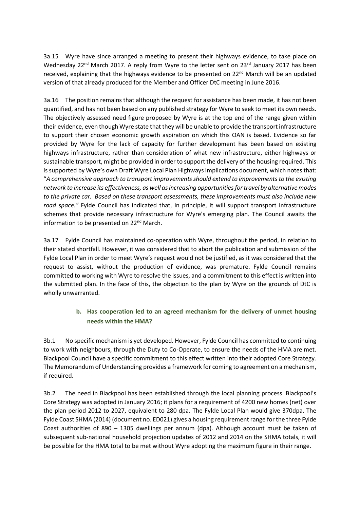3a.15 Wyre have since arranged a meeting to present their highways evidence, to take place on Wednesday 22<sup>nd</sup> March 2017. A reply from Wyre to the letter sent on 23<sup>rd</sup> January 2017 has been received, explaining that the highways evidence to be presented on 22<sup>nd</sup> March will be an updated version of that already produced for the Member and Officer DtC meeting in June 2016.

3a.16 The position remains that although the request for assistance has been made, it has not been quantified, and has not been based on any published strategy for Wyre to seek to meet its own needs. The objectively assessed need figure proposed by Wyre is at the top end of the range given within their evidence, even though Wyre state that they will be unable to provide the transport infrastructure to support their chosen economic growth aspiration on which this OAN is based. Evidence so far provided by Wyre for the lack of capacity for further development has been based on existing highways infrastructure, rather than consideration of what new infrastructure, either highways or sustainable transport, might be provided in order to support the delivery of the housing required. This is supported by Wyre's own Draft Wyre Local Plan Highways Implications document, which notes that: "*A comprehensive approach to transport improvements should extend to improvements to the existing network to increase its effectiveness, as well as increasing opportunities for travel by alternative modes to the private car. Based on these transport assessments, these improvements must also include new road space."* Fylde Council has indicated that, in principle, it will support transport infrastructure schemes that provide necessary infrastructure for Wyre's emerging plan. The Council awaits the information to be presented on 22<sup>nd</sup> March.

3a.17 Fylde Council has maintained co-operation with Wyre, throughout the period, in relation to their stated shortfall. However, it was considered that to abort the publication and submission of the Fylde Local Plan in order to meet Wyre's request would not be justified, as it was considered that the request to assist, without the production of evidence, was premature. Fylde Council remains committed to working with Wyre to resolve the issues, and a commitment to this effect is written into the submitted plan. In the face of this, the objection to the plan by Wyre on the grounds of DtC is wholly unwarranted.

#### **b. Has cooperation led to an agreed mechanism for the delivery of unmet housing needs within the HMA?**

3b.1 No specific mechanism is yet developed. However, Fylde Council has committed to continuing to work with neighbours, through the Duty to Co-Operate, to ensure the needs of the HMA are met. Blackpool Council have a specific commitment to this effect written into their adopted Core Strategy. The Memorandum of Understanding provides a framework for coming to agreement on a mechanism, if required.

3b.2 The need in Blackpool has been established through the local planning process. Blackpool's Core Strategy was adopted in January 2016; it plans for a requirement of 4200 new homes (net) over the plan period 2012 to 2027, equivalent to 280 dpa. The Fylde Local Plan would give 370dpa. The Fylde Coast SHMA (2014) (document no. ED021) gives a housing requirement range for the three Fylde Coast authorities of 890 – 1305 dwellings per annum (dpa). Although account must be taken of subsequent sub-national household projection updates of 2012 and 2014 on the SHMA totals, it will be possible for the HMA total to be met without Wyre adopting the maximum figure in their range.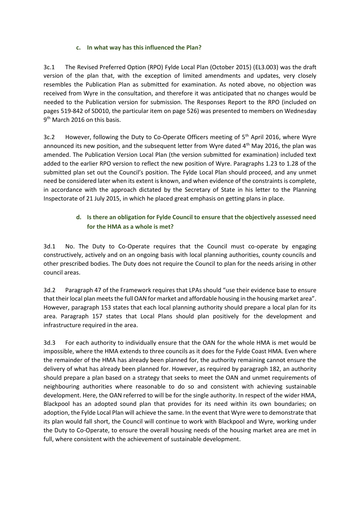#### **c. In what way has this influenced the Plan?**

3c.1 The Revised Preferred Option (RPO) Fylde Local Plan (October 2015) (EL3.003) was the draft version of the plan that, with the exception of limited amendments and updates, very closely resembles the Publication Plan as submitted for examination. As noted above, no objection was received from Wyre in the consultation, and therefore it was anticipated that no changes would be needed to the Publication version for submission. The Responses Report to the RPO (included on pages 519-842 of SD010, the particular item on page 526) was presented to members on Wednesday 9<sup>th</sup> March 2016 on this basis.

3c.2 However, following the Duty to Co-Operate Officers meeting of 5<sup>th</sup> April 2016, where Wyre announced its new position, and the subsequent letter from Wyre dated 4<sup>th</sup> May 2016, the plan was amended. The Publication Version Local Plan (the version submitted for examination) included text added to the earlier RPO version to reflect the new position of Wyre. Paragraphs 1.23 to 1.28 of the submitted plan set out the Council's position. The Fylde Local Plan should proceed, and any unmet need be considered later when its extent is known, and when evidence of the constraints is complete, in accordance with the approach dictated by the Secretary of State in his letter to the Planning Inspectorate of 21 July 2015, in which he placed great emphasis on getting plans in place.

#### **d. Is there an obligation for Fylde Council to ensure that the objectively assessed need for the HMA as a whole is met?**

3d.1 No. The Duty to Co-Operate requires that the Council must co-operate by engaging constructively, actively and on an ongoing basis with local planning authorities, county councils and other prescribed bodies. The Duty does not require the Council to plan for the needs arising in other council areas.

3d.2 Paragraph 47 of the Framework requires that LPAs should "use their evidence base to ensure that their local plan meets the full OAN for market and affordable housing in the housing market area". However, paragraph 153 states that each local planning authority should prepare a local plan for its area. Paragraph 157 states that Local Plans should plan positively for the development and infrastructure required in the area.

3d.3 For each authority to individually ensure that the OAN for the whole HMA is met would be impossible, where the HMA extends to three councils as it does for the Fylde Coast HMA. Even where the remainder of the HMA has already been planned for, the authority remaining cannot ensure the delivery of what has already been planned for. However, as required by paragraph 182, an authority should prepare a plan based on a strategy that seeks to meet the OAN and unmet requirements of neighbouring authorities where reasonable to do so and consistent with achieving sustainable development. Here, the OAN referred to will be for the single authority. In respect of the wider HMA, Blackpool has an adopted sound plan that provides for its need within its own boundaries; on adoption, the Fylde Local Plan will achieve the same. In the event that Wyre were to demonstrate that its plan would fall short, the Council will continue to work with Blackpool and Wyre, working under the Duty to Co-Operate, to ensure the overall housing needs of the housing market area are met in full, where consistent with the achievement of sustainable development.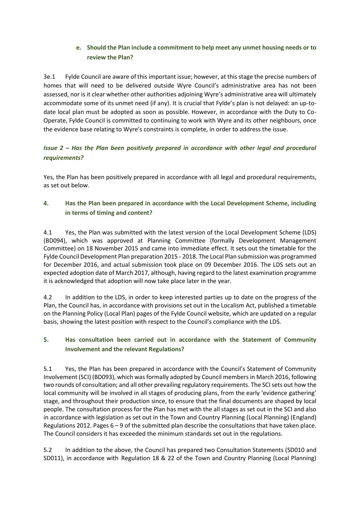#### **e. Should the Plan include a commitment to help meet any unmet housing needs or to review the Plan?**

3e.1 Fylde Council are aware of this important issue; however, at this stage the precise numbers of homes that will need to be delivered outside Wyre Council's administrative area has not been assessed, nor is it clear whether other authorities adjoining Wyre's administrative area will ultimately accommodate some of its unmet need (if any). It is crucial that Fylde's plan is not delayed: an up-todate local plan must be adopted as soon as possible. However, in accordance with the Duty to Co-Operate, Fylde Council is committed to continuing to work with Wyre and its other neighbours, once the evidence base relating to Wyre's constraints is complete, in order to address the issue.

# *Issue 2 – Has the Plan been positively prepared in accordance with other legal and procedural requirements?*

Yes, the Plan has been positively prepared in accordance with all legal and procedural requirements, as set out below.

#### **4. Has the Plan been prepared in accordance with the Local Development Scheme, including in terms of timing and content?**

4.1 Yes, the Plan was submitted with the latest version of the Local Development Scheme (LDS) (BD094), which was approved at Planning Committee (formally Development Management Committee) on 18 November 2015 and came into immediate effect. It sets out the timetable for the Fylde Council Development Plan preparation 2015 - 2018. The Local Plan submission was programmed for December 2016, and actual submission took place on 09 December 2016. The LDS sets out an expected adoption date of March 2017, although, having regard to the latest examination programme it is acknowledged that adoption will now take place later in the year.

4.2 In addition to the LDS, in order to keep interested parties up to date on the progress of the Plan, the Council has, in accordance with provisions set out in the Localism Act, published a timetable on the Planning Policy (Local Plan) pages of the Fylde Council website, which are updated on a regular basis, showing the latest position with respect to the Council's compliance with the LDS.

#### **5. Has consultation been carried out in accordance with the Statement of Community Involvement and the relevant Regulations?**

5.1 Yes, the Plan has been prepared in accordance with the Council's Statement of Community Involvement (SCI) (BD093), which was formally adopted by Council members in March 2016, following two rounds of consultation; and all other prevailing regulatory requirements. The SCI sets out how the local community will be involved in all stages of producing plans, from the early 'evidence gathering' stage, and throughout their production since, to ensure that the final documents are shaped by local people. The consultation process for the Plan has met with the all stages as set out in the SCI and also in accordance with legislation as set out in the Town and Country Planning (Local Planning) (England) Regulations 2012. Pages 6 – 9 of the submitted plan describe the consultations that have taken place. The Council considers it has exceeded the minimum standards set out in the regulations.

5.2 In addition to the above, the Council has prepared two Consultation Statements (SD010 and SD011), in accordance with Regulation 18 & 22 of the Town and Country Planning (Local Planning)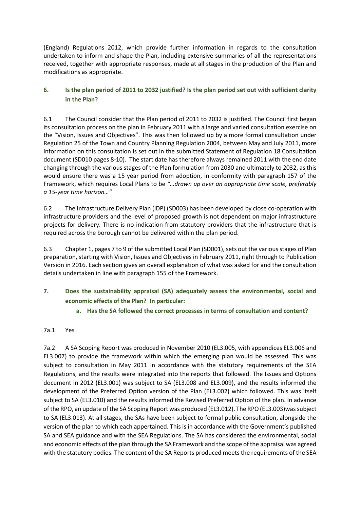(England) Regulations 2012, which provide further information in regards to the consultation undertaken to inform and shape the Plan, including extensive summaries of all the representations received, together with appropriate responses, made at all stages in the production of the Plan and modifications as appropriate.

#### **6. Is the plan period of 2011 to 2032 justified? Is the plan period set out with sufficient clarity in the Plan?**

6.1 The Council consider that the Plan period of 2011 to 2032 is justified. The Council first began its consultation process on the plan in February 2011 with a large and varied consultation exercise on the "Vision, Issues and Objectives". This was then followed up by a more formal consultation under Regulation 25 of the Town and Country Planning Regulation 2004, between May and July 2011, more information on this consultation is set out in the submitted Statement of Regulation 18 Consultation document (SD010 pages 8-10). The start date has therefore always remained 2011 with the end date changing through the various stages of the Plan formulation from 2030 and ultimately to 2032, as this would ensure there was a 15 year period from adoption, in conformity with paragraph 157 of the Framework, which requires Local Plans to be *"…drawn up over an appropriate time scale, preferably a 15-year time horizon…"*

6.2 The Infrastructure Delivery Plan (IDP) (SD003) has been developed by close co-operation with infrastructure providers and the level of proposed growth is not dependent on major infrastructure projects for delivery. There is no indication from statutory providers that the infrastructure that is required across the borough cannot be delivered within the plan period.

6.3 Chapter 1, pages 7 to 9 of the submitted Local Plan (SD001), sets out the various stages of Plan preparation, starting with Vision, Issues and Objectives in February 2011, right through to Publication Version in 2016. Each section gives an overall explanation of what was asked for and the consultation details undertaken in line with paragraph 155 of the Framework.

- **7. Does the sustainability appraisal (SA) adequately assess the environmental, social and economic effects of the Plan? In particular:**
	- **a. Has the SA followed the correct processes in terms of consultation and content?**

#### 7a.1 Yes

7a.2 A SA Scoping Report was produced in November 2010 (EL3.005, with appendices EL3.006 and EL3.007) to provide the framework within which the emerging plan would be assessed. This was subject to consultation in May 2011 in accordance with the statutory requirements of the SEA Regulations, and the results were integrated into the reports that followed. The Issues and Options document in 2012 (EL3.001) was subject to SA (EL3.008 and EL3.009), and the results informed the development of the Preferred Option version of the Plan (EL3.002) which followed. This was itself subject to SA (EL3.010) and the results informed the Revised Preferred Option of the plan. In advance of the RPO, an update of the SA Scoping Report was produced (EL3.012). The RPO (EL3.003)was subject to SA (EL3.013). At all stages, the SAs have been subject to formal public consultation, alongside the version of the plan to which each appertained. This is in accordance with the Government's published SA and SEA guidance and with the SEA Regulations. The SA has considered the environmental, social and economic effects of the plan through the SA Framework and the scope of the appraisal was agreed with the statutory bodies. The content of the SA Reports produced meets the requirements of the SEA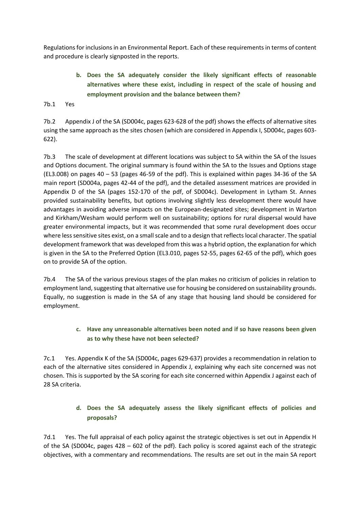Regulations for inclusions in an Environmental Report. Each of these requirements in terms of content and procedure is clearly signposted in the reports.

# **b. Does the SA adequately consider the likely significant effects of reasonable alternatives where these exist, including in respect of the scale of housing and employment provision and the balance between them?**

7b.1 Yes

7b.2 Appendix J of the SA (SD004c, pages 623-628 of the pdf) shows the effects of alternative sites using the same approach as the sites chosen (which are considered in Appendix I, SD004c, pages 603- 622).

7b.3 The scale of development at different locations was subject to SA within the SA of the Issues and Options document. The original summary is found within the SA to the Issues and Options stage (EL3.008) on pages 40 – 53 (pages 46-59 of the pdf). This is explained within pages 34-36 of the SA main report (SD004a, pages 42-44 of the pdf), and the detailed assessment matrices are provided in Appendix D of the SA (pages 152-170 of the pdf, of SD004c). Development in Lytham St. Annes provided sustainability benefits, but options involving slightly less development there would have advantages in avoiding adverse impacts on the European-designated sites; development in Warton and Kirkham/Wesham would perform well on sustainability; options for rural dispersal would have greater environmental impacts, but it was recommended that some rural development does occur where less sensitive sites exist, on a small scale and to a design that reflects local character. The spatial development framework that was developed from this was a hybrid option, the explanation for which is given in the SA to the Preferred Option (EL3.010, pages 52-55, pages 62-65 of the pdf), which goes on to provide SA of the option.

7b.4 The SA of the various previous stages of the plan makes no criticism of policies in relation to employment land, suggesting that alternative use for housing be considered on sustainability grounds. Equally, no suggestion is made in the SA of any stage that housing land should be considered for employment.

#### **c. Have any unreasonable alternatives been noted and if so have reasons been given as to why these have not been selected?**

7c.1 Yes. Appendix K of the SA (SD004c, pages 629-637) provides a recommendation in relation to each of the alternative sites considered in Appendix J, explaining why each site concerned was not chosen. This is supported by the SA scoring for each site concerned within Appendix J against each of 28 SA criteria.

# **d. Does the SA adequately assess the likely significant effects of policies and proposals?**

7d.1 Yes. The full appraisal of each policy against the strategic objectives is set out in Appendix H of the SA (SD004c, pages 428 – 602 of the pdf). Each policy is scored against each of the strategic objectives, with a commentary and recommendations. The results are set out in the main SA report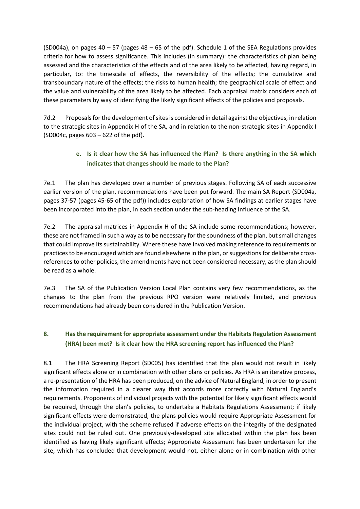(SD004a), on pages  $40 - 57$  (pages  $48 - 65$  of the pdf). Schedule 1 of the SEA Regulations provides criteria for how to assess significance. This includes (in summary): the characteristics of plan being assessed and the characteristics of the effects and of the area likely to be affected, having regard, in particular, to: the timescale of effects, the reversibility of the effects; the cumulative and transboundary nature of the effects; the risks to human health; the geographical scale of effect and the value and vulnerability of the area likely to be affected. Each appraisal matrix considers each of these parameters by way of identifying the likely significant effects of the policies and proposals.

7d.2 Proposals for the development of sites is considered in detail against the objectives, in relation to the strategic sites in Appendix H of the SA, and in relation to the non-strategic sites in Appendix I (SD004c, pages 603 – 622 of the pdf).

# **e. Is it clear how the SA has influenced the Plan? Is there anything in the SA which indicates that changes should be made to the Plan?**

7e.1 The plan has developed over a number of previous stages. Following SA of each successive earlier version of the plan, recommendations have been put forward. The main SA Report (SD004a, pages 37-57 (pages 45-65 of the pdf)) includes explanation of how SA findings at earlier stages have been incorporated into the plan, in each section under the sub-heading Influence of the SA.

7e.2 The appraisal matrices in Appendix H of the SA include some recommendations; however, these are not framed in such a way as to be necessary for the soundness of the plan, but small changes that could improve its sustainability. Where these have involved making reference to requirements or practices to be encouraged which are found elsewhere in the plan, or suggestions for deliberate crossreferences to other policies, the amendments have not been considered necessary, as the plan should be read as a whole.

7e.3 The SA of the Publication Version Local Plan contains very few recommendations, as the changes to the plan from the previous RPO version were relatively limited, and previous recommendations had already been considered in the Publication Version.

#### **8. Has the requirement for appropriate assessment under the Habitats Regulation Assessment (HRA) been met? Is it clear how the HRA screening report has influenced the Plan?**

8.1 The HRA Screening Report (SD005) has identified that the plan would not result in likely significant effects alone or in combination with other plans or policies. As HRA is an iterative process, a re-presentation of the HRA has been produced, on the advice of Natural England, in order to present the information required in a clearer way that accords more correctly with Natural England's requirements. Proponents of individual projects with the potential for likely significant effects would be required, through the plan's policies, to undertake a Habitats Regulations Assessment; if likely significant effects were demonstrated, the plans policies would require Appropriate Assessment for the individual project, with the scheme refused if adverse effects on the integrity of the designated sites could not be ruled out. One previously-developed site allocated within the plan has been identified as having likely significant effects; Appropriate Assessment has been undertaken for the site, which has concluded that development would not, either alone or in combination with other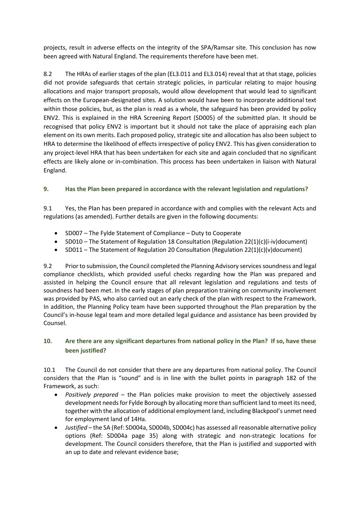projects, result in adverse effects on the integrity of the SPA/Ramsar site. This conclusion has now been agreed with Natural England. The requirements therefore have been met.

8.2 The HRAs of earlier stages of the plan (EL3.011 and EL3.014) reveal that at that stage, policies did not provide safeguards that certain strategic policies, in particular relating to major housing allocations and major transport proposals, would allow development that would lead to significant effects on the European-designated sites. A solution would have been to incorporate additional text within those policies, but, as the plan is read as a whole, the safeguard has been provided by policy ENV2. This is explained in the HRA Screening Report (SD005) of the submitted plan. It should be recognised that policy ENV2 is important but it should not take the place of appraising each plan element on its own merits. Each proposed policy, strategic site and allocation has also been subject to HRA to determine the likelihood of effects irrespective of policy ENV2. This has given consideration to any project-level HRA that has been undertaken for each site and again concluded that no significant effects are likely alone or in-combination. This process has been undertaken in liaison with Natural England.

#### **9. Has the Plan been prepared in accordance with the relevant legislation and regulations?**

9.1 Yes, the Plan has been prepared in accordance with and complies with the relevant Acts and regulations (as amended). Further details are given in the following documents:

- SD007 The Fylde Statement of Compliance Duty to Cooperate
- SD010 The Statement of Regulation 18 Consultation (Regulation 22(1)(c)(i-iv)document)
- SD011 The Statement of Regulation 20 Consultation (Regulation 22(1)(c)(v)document)

9.2 Prior to submission, the Council completed the Planning Advisory services soundness and legal compliance checklists, which provided useful checks regarding how the Plan was prepared and assisted in helping the Council ensure that all relevant legislation and regulations and tests of soundness had been met. In the early stages of plan preparation training on community involvement was provided by PAS, who also carried out an early check of the plan with respect to the Framework. In addition, the Planning Policy team have been supported throughout the Plan preparation by the Council's in-house legal team and more detailed legal guidance and assistance has been provided by Counsel.

#### **10. Are there are any significant departures from national policy in the Plan? If so, have these been justified?**

10.1 The Council do not consider that there are any departures from national policy. The Council considers that the Plan is "sound" and is in line with the bullet points in paragraph 182 of the Framework, as such:

- *Positively prepared* the Plan policies make provision to meet the objectively assessed development needs for Fylde Borough by allocating more than sufficient land to meet its need, together with the allocation of additional employment land, including Blackpool's unmet need for employment land of 14Ha.
- *Justified* the SA (Ref: SD004a, SD004b, SD004c) has assessed all reasonable alternative policy options (Ref: SD004a page 35) along with strategic and non-strategic locations for development. The Council considers therefore, that the Plan is justified and supported with an up to date and relevant evidence base;